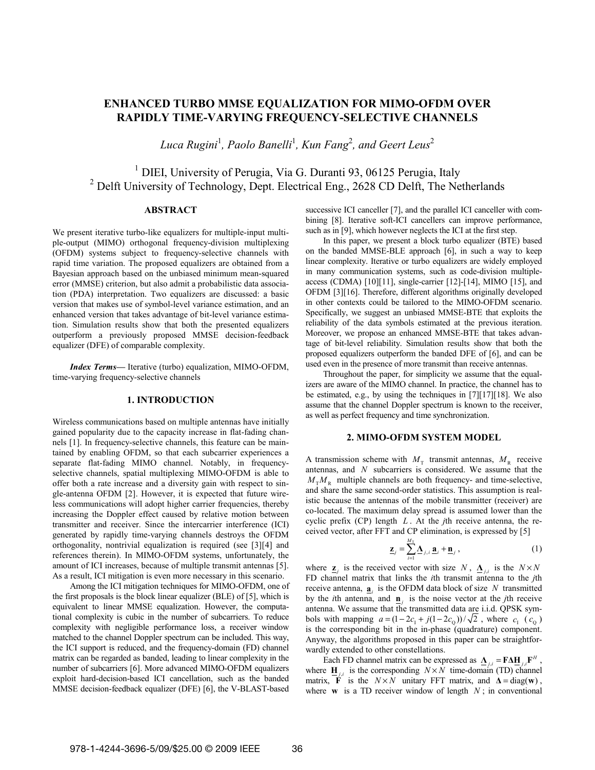# **ENHANCED TURBO MMSE EQUALIZATION FOR MIMO-OFDM OVER RAPIDLY TIME-VARYING FREQUENCY-SELECTIVE CHANNELS**

 $L$ uca Rugini<sup>1</sup>, Paolo Banelli<sup>1</sup>, Kun Fang<sup>2</sup>, and Geert Leus<sup>2</sup>

<sup>1</sup> DIEI, University of Perugia, Via G. Duranti 93, 06125 Perugia, Italy <sup>2</sup> Delft University of Technology, Dept. Electrical Eng., 2628 CD Delft, The Netherlands

## **ABSTRACT**

We present iterative turbo-like equalizers for multiple-input multiple-output (MIMO) orthogonal frequency-division multiplexing (OFDM) systems subject to frequency-selective channels with rapid time variation. The proposed equalizers are obtained from a Bayesian approach based on the unbiased minimum mean-squared error (MMSE) criterion, but also admit a probabilistic data association (PDA) interpretation. Two equalizers are discussed: a basic version that makes use of symbol-level variance estimation, and an enhanced version that takes advantage of bit-level variance estimation. Simulation results show that both the presented equalizers outperform a previously proposed MMSE decision-feedback equalizer (DFE) of comparable complexity.

*Index Terms*— Iterative (turbo) equalization, MIMO-OFDM, time-varying frequency-selective channels

## **1. INTRODUCTION**

Wireless communications based on multiple antennas have initially gained popularity due to the capacity increase in flat-fading channels [1]. In frequency-selective channels, this feature can be maintained by enabling OFDM, so that each subcarrier experiences a separate flat-fading MIMO channel. Notably, in frequencyselective channels, spatial multiplexing MIMO-OFDM is able to offer both a rate increase and a diversity gain with respect to single-antenna OFDM [2]. However, it is expected that future wireless communications will adopt higher carrier frequencies, thereby increasing the Doppler effect caused by relative motion between transmitter and receiver. Since the intercarrier interference (ICI) generated by rapidly time-varying channels destroys the OFDM orthogonality, nontrivial equalization is required (see [3][4] and references therein). In MIMO-OFDM systems, unfortunately, the amount of ICI increases, because of multiple transmit antennas [5]. As a result, ICI mitigation is even more necessary in this scenario.

Among the ICI mitigation techniques for MIMO-OFDM, one of the first proposals is the block linear equalizer (BLE) of [5], which is equivalent to linear MMSE equalization. However, the computational complexity is cubic in the number of subcarriers. To reduce complexity with negligible performance loss, a receiver window matched to the channel Doppler spectrum can be included. This way, the ICI support is reduced, and the frequency-domain (FD) channel matrix can be regarded as banded, leading to linear complexity in the number of subcarriers [6]. More advanced MIMO-OFDM equalizers exploit hard-decision-based ICI cancellation, such as the banded MMSE decision-feedback equalizer (DFE) [6], the V-BLAST-based

successive ICI canceller [7], and the parallel ICI canceller with combining [8]. Iterative soft-ICI cancellers can improve performance, such as in [9], which however neglects the ICI at the first step.

In this paper, we present a block turbo equalizer (BTE) based on the banded MMSE-BLE approach [6], in such a way to keep linear complexity. Iterative or turbo equalizers are widely employed in many communication systems, such as code-division multipleaccess (CDMA) [10][11], single-carrier [12]-[14], MIMO [15], and OFDM [3][16]. Therefore, different algorithms originally developed in other contexts could be tailored to the MIMO-OFDM scenario. Specifically, we suggest an unbiased MMSE-BTE that exploits the reliability of the data symbols estimated at the previous iteration. Moreover, we propose an enhanced MMSE-BTE that takes advantage of bit-level reliability. Simulation results show that both the proposed equalizers outperform the banded DFE of [6], and can be used even in the presence of more transmit than receive antennas.

Throughout the paper, for simplicity we assume that the equalizers are aware of the MIMO channel. In practice, the channel has to be estimated, e.g., by using the techniques in [7][17][18]. We also assume that the channel Doppler spectrum is known to the receiver, as well as perfect frequency and time synchronization.

#### **2. MIMO-OFDM SYSTEM MODEL**

A transmission scheme with  $M<sub>T</sub>$  transmit antennas,  $M<sub>R</sub>$  receive antennas, and *N* subcarriers is considered. We assume that the  $M_{\tau} M_{\nu}$  multiple channels are both frequency- and time-selective, and share the same second-order statistics. This assumption is realistic because the antennas of the mobile transmitter (receiver) are co-located. The maximum delay spread is assumed lower than the cyclic prefix (CP) length *L* . At the *j*th receive antenna, the received vector, after FFT and CP elimination, is expressed by [5]

$$
\underline{\mathbf{z}}_{j} = \sum_{i=1}^{M_{\mathrm{T}}} \underline{\mathbf{\Lambda}}_{j,i} \underline{\mathbf{a}}_{i} + \underline{\mathbf{n}}_{j}, \qquad (1)
$$

where  $\underline{\mathbf{z}}_i$  is the received vector with size *N*,  $\underline{\mathbf{\Lambda}}_{i,i}$  is the  $N \times N$ FD channel matrix that links the *i*th transmit antenna to the *j*th receive antenna,  $\mathbf{a}_i$  is the OFDM data block of size *N* transmitted by the *i*th antenna, and  $\underline{\mathbf{n}}_j$  is the noise vector at the *j*th receive antenna. We assume that the transmitted data are i.i.d. QPSK symbols with mapping  $a = (1 - 2c_1 + j(1 - 2c_0))/\sqrt{2}$ , where  $c_1$  ( $c_0$ ) is the corresponding bit in the in-phase (quadrature) component. Anyway, the algorithms proposed in this paper can be straightforwardly extended to other constellations.

Each FD channel matrix can be expressed as  $\mathbf{\underline{\Lambda}}_{j,i} = \mathbf{F} \Delta \mathbf{\underline{H}}_{j,i} \mathbf{F}^H$ , where  $\mathbf{H}_{ij}$  is the corresponding  $N \times N$  time-domain (TD) channel matrix, **F** is the  $N \times N$  unitary FFT matrix, and  $\Delta = \text{diag}(\mathbf{w})$ , where **w** is a TD receiver window of length  $N$ ; in conventional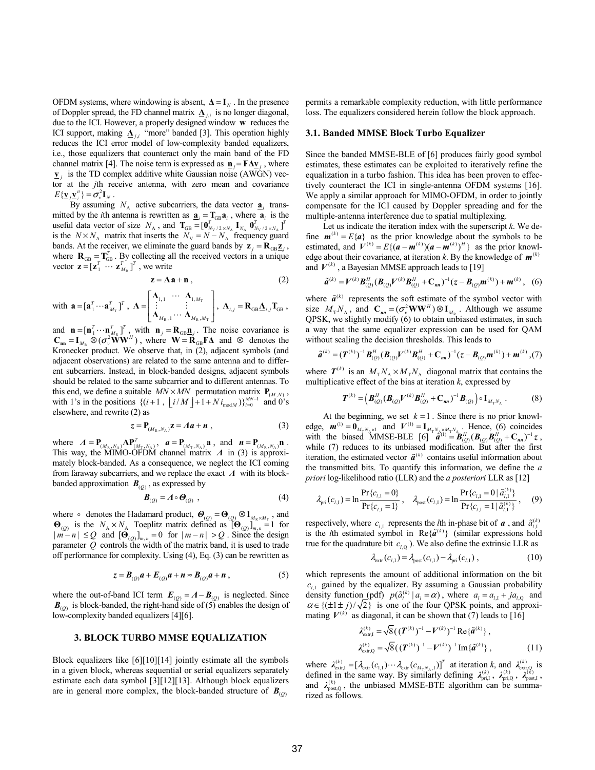OFDM systems, where windowing is absent,  $\Delta = I_N$ . In the presence of Doppler spread, the FD channel matrix  $\Delta_{i,i}$  is no longer diagonal, due to the ICI. However, a properly designed window **w** reduces the ICI support, making  $\Delta_{j,i}$  "more" banded [3]. This operation highly reduces the ICI error model of low-complexity banded equalizers, i.e., those equalizers that counteract only the main band of the FD channel matrix [4]. The noise term is expressed as  $\mathbf{n}_i = \mathbf{F} \Delta \mathbf{v}_i$ , where **v** is the TD complex additive white Gaussian noise (AWGN) vector at the *j*th receive antenna, with zero mean and covariance  $E{\{\underline{\mathbf{v}}_j \underline{\mathbf{v}}_j^{\textit{H}}\}} = \sigma_v^2 \mathbf{I}_N$ .

By assuming  $N_A$  active subcarriers, the data vector  $\mathbf{a}_i$  transmitted by the *i*th antenna is rewritten as  $\mathbf{a}_i = \mathbf{T}_{GB} \mathbf{a}_i$ , where  $\mathbf{a}_i$  is the useful data vector of size  $N_A$ , and  $\mathbf{T}_{GB} = [\mathbf{0}_{N_V/2 \times N_A}^T \mathbf{I}_{N_A} \mathbf{0}_{N_V/2 \times N_A}^T]^T$ is the  $N \times N_A$  matrix that inserts the  $N_V = N - N_A$  frequency guard bands. At the receiver, we eliminate the guard bands by  $z_i = R_{GB} \underline{z}_i$ , where  $\mathbf{R}_{GB} = \mathbf{T}_{GB}^T$ . By collecting all the received vectors in a unique vector  $\mathbf{z} = [\mathbf{z}_1^T \cdots \mathbf{z}_{M_R}^T]^T$ , we write

$$
z = \Lambda a + n , \qquad (2)
$$

with  $\mathbf{a} = [\mathbf{a}_1^T \cdots \mathbf{a}_{M_T}^T]^T$ ,  $\mathbf{\Lambda} = \begin{vmatrix} \vdots \\ \mathbf{\Lambda}_{M_{\mathrm{max}}} \end{vmatrix}$  $R, \mathbf{H}$   $M_R, \mathbf{H}_T$  $1, 1 \quad 1,$  $,1 \quad M_R,$  $\begin{array}{ccc} \mathbf{\Lambda}_{1,1} & \cdots & \mathbf{\Lambda}_{1,M} \\ \vdots & \vdots & \end{array}$  $M_{\rm R}$ , 1  $M_{\rm R}$ , *M*  $\begin{bmatrix} \mathbf{\Lambda}_{11} & \cdots & \mathbf{\Lambda}_{1\ M_n} \end{bmatrix}$ =  $\left\lfloor {\boldsymbol \Lambda}_{_{M_{\mathrm{R}}},1} \cdots {\boldsymbol \Lambda}_{_{M_{\mathrm{R}},M_{\mathrm{T}}}} \right\rfloor$  $\Lambda_{1,1} \cdots \Lambda$ **Λ**  $\Lambda_{M_{n-1}}\cdots\Lambda$ ...  $\mathbb{R}^n \rightarrow \mathbb{R}$  $\left| \begin{array}{c} \vdots \\ \cdots \\ \Lambda_{M-M-} \end{array} \right|$ ,  $\Lambda_{i,j} = \mathbf{R}_{GB} \underline{\Lambda}_{i,j} \mathbf{T}_{GB}$ ,

and  $\mathbf{n} = [\mathbf{n}_1^T \cdots \mathbf{n}_{M_n}^T]^T$ , with  $\mathbf{n}_i = \mathbf{R}_{GB} \mathbf{n}_i$ . The noise covariance is  $\mathbf{C}_{nn} = \mathbf{I}_{M_R} \otimes (\sigma_v^2 \hat{\mathbf{W}} \mathbf{W}^H)$ , where  $\mathbf{W} = \hat{\mathbf{R}}_{GB} \mathbf{F} \Delta$  and  $\otimes$  denotes the Kronecker product. We observe that, in (2), adjacent symbols (and adjacent observations) are related to the same antenna and to different subcarriers. Instead, in block-banded designs, adjacent symbols should be related to the same subcarrier and to different antennas. To this end, we define a suitable  $MN \times MN$  permutation matrix  $P_{(M,N)}$ , with 1's in the positions  $\{(i+1, \lfloor i/M \rfloor + 1 + N i_{\text{mod } M})\}_{i=0}^{MN-1}$  and 0's elsewhere, and rewrite (2) as

$$
z = \mathbf{P}_{(M_{\rm R}, N_{\rm A})} \mathbf{z} = A \mathbf{a} + \mathbf{n} \tag{3}
$$

where  $A = \mathbf{P}_{(M_R, N_A)} \Lambda \mathbf{P}_{(M_T, N_A)}^T$ ,  $a = \mathbf{P}_{(M_T, N_A)} \mathbf{a}$ , and  $n = \mathbf{P}_{(M_R, N_A)} \mathbf{n}$ .<br>This way, the MIMO-OFDM channel matrix  $A$  in (3) is approximately block-banded. As a consequence, we neglect the ICI coming from faraway subcarriers, and we replace the exact *Λ* with its blockbanded approximation  $B_{(0)}$ , as expressed by

$$
\boldsymbol{B}_{(Q)} = \boldsymbol{\Lambda} \circ \boldsymbol{\Theta}_{(Q)}, \qquad (4)
$$

where  $\circ$  denotes the Hadamard product,  $\boldsymbol{\Theta}_{(O)} = \boldsymbol{\Theta}_{(O)} \otimes \boldsymbol{1}_{M_p \times M_p}$ , and  $\mathbf{\Theta}_{(O)}$  is the  $N_A \times N_A$  Toeplitz matrix defined as  $[\mathbf{\Theta}_{(O)}]_{m,n} = 1$  for  $|m-n| \leq Q$  and  $[\mathbf{\Theta}_{(O)}]_{m,n} = 0$  for  $|m-n| > Q$ . Since the design parameter  $Q$  controls the width of the matrix band, it is used to trade off performance for complexity. Using (4), Eq. (3) can be rewritten as

$$
z = B(Q) a + E(Q) a + n \approx B(Q) a + n , \qquad (5)
$$

where the out-of-band ICI term  $\mathbf{E}_{(Q)} = A - \mathbf{B}_{(Q)}$  is neglected. Since  $\mathbf{B}_{(Q)}$  is block-banded, the right-hand side of (5) enables the design of low-complexity banded equalizers [4][6].

#### **3. BLOCK TURBO MMSE EQUALIZATION**

Block equalizers like [6][10][14] jointly estimate all the symbols in a given block, whereas sequential or serial equalizers separately estimate each data symbol [3][12][13]. Although block equalizers are in general more complex, the block-banded structure of  $B_{(0)}$ 

permits a remarkable complexity reduction, with little performance loss. The equalizers considered herein follow the block approach.

#### **3.1. Banded MMSE Block Turbo Equalizer**

Since the banded MMSE-BLE of [6] produces fairly good symbol estimates, these estimates can be exploited to iteratively refine the equalization in a turbo fashion. This idea has been proven to effectively counteract the ICI in single-antenna OFDM systems [16]. We apply a similar approach for MIMO-OFDM, in order to jointly compensate for the ICI caused by Doppler spreading and for the multiple-antenna interference due to spatial multiplexing.

Let us indicate the iteration index with the superscript *k*. We define  $\mathbf{m}^{(k)} = E\{\mathbf{a}\}\$ as the prior knowledge about the symbols to be estimated, and  $\mathbf{V}^{(k)} = E\{(\mathbf{a} - \mathbf{m}^{(k)})(\mathbf{a} - \mathbf{m}^{(k)})^H\}$  as the prior knowledge about their covariance, at iteration *k*. By the knowledge of  $m^{(k)}$ and  $V^{(k)}$ , a Bayesian MMSE approach leads to [19]

$$
\tilde{a}^{(k)} = V^{(k)} B_{(Q)}^H (B_{(Q)} V^{(k)} B_{(Q)}^H + C_{nn})^{-1} (z - B_{(Q)} m^{(k)}) + m^{(k)},
$$
 (6)

where  $\tilde{a}^{(k)}$  represents the soft estimate of the symbol vector with size  $M_{\text{T}} N_{\text{A}}$ , and  $\mathbf{C}_{nn} = (\sigma_v^2 \mathbf{W} \mathbf{W}^H) \otimes \mathbf{I}_{M_{\text{R}}}$ . Although we assume QPSK, we slightly modify (6) to obtain unbiased estimates, in such a way that the same equalizer expression can be used for QAM without scaling the decision thresholds. This leads to

$$
\tilde{a}^{(k)} = (T^{(k)})^{-1} B^H_{(Q)} (B_{(Q)} V^{(k)} B^H_{(Q)} + C_{nn})^{-1} (z - B_{(Q)} m^{(k)}) + m^{(k)}, (7)
$$

where  $T^{(k)}$  is an  $M_{\text{T}}N_{\text{A}} \times M_{\text{T}}N_{\text{A}}$  diagonal matrix that contains the multiplicative effect of the bias at iteration *k*, expressed by

$$
T^{(k)} = (B_{(Q)}^H (B_{(Q)} V^{(k)} B_{(Q)}^H + C_{nn})^{-1} B_{(Q)}) \circ I_{M_T N_A} .
$$
 (8)

At the beginning, we set  $k = 1$ . Since there is no prior knowledge,  $\mathbf{m}^{(1)} = \mathbf{0}_{M_T N_A \times 1}$  and  $\mathbf{V}^{(1)} = \mathbf{I}_{M_T N_A \times M_T N_A}$ . Hence, (6) coincides with the biased MMSE-BLE [6]  $\hat{a}^{(1)} = \hat{B}_{(0)}^H (\mathbf{B}_{(0)} \mathbf{B}_{(0)}^H + \mathbf{C}_{nn})^{-1} z$ , while (7) reduces to its unbiased modification. But after the first iteration, the estimated vector  $\tilde{a}^{(k)}$  contains useful information about the transmitted bits. To quantify this information, we define the *a priori* log-likelihood ratio (LLR) and the *a posteriori* LLR as [12]

$$
\lambda_{\text{pri}}(c_{l,1}) = \ln \frac{\Pr\{c_{l,1} = 0\}}{\Pr\{c_{l,1} = 1\}}, \quad \lambda_{\text{post}}(c_{l,1}) = \ln \frac{\Pr\{c_{l,1} = 0 \mid \tilde{a}_{l,1}^{(k)}\}}{\Pr\{c_{l,1} = 1 \mid \tilde{a}_{l,1}^{(k)}\}}, \quad (9)
$$

respectively, where  $c_{i,1}$  represents the *l*th in-phase bit of *a*, and  $\tilde{a}_{i,1}^{(k)}$ is the *l*th estimated symbol in  $\text{Re}\{\tilde{a}^{(k)}\}\$  (similar expressions hold true for the quadrature bit  $c_{l,Q}$ ). We also define the extrinsic LLR as

$$
\lambda_{\text{extr}}(c_{l,1}) = \lambda_{\text{post}}(c_{l,1}) - \lambda_{\text{pri}}(c_{l,1}),
$$
\n(10)

which represents the amount of additional information on the bit  $c_{11}$  gained by the equalizer. By assuming a Gaussian probability density function (pdf)  $p(\tilde{a}_i^{(k)} | a_i = \alpha)$ , where  $a_i = a_{i,1} + ja_{i,0}$  and  $\alpha \in \{(\pm 1 \pm j)/\sqrt{2}\}\;$  is one of the four QPSK points, and approximating  $V^{(k)}$  as diagonal, it can be shown that (7) leads to [16]

$$
\lambda_{\text{extr},1}^{(k)} = \sqrt{8} ((T^{(k)})^{-1} - V^{(k)})^{-1} \operatorname{Re} {\{\tilde{a}}^{(k)}\},
$$
  

$$
\lambda_{\text{extr},2}^{(k)} = \sqrt{8} ((T^{(k)})^{-1} - V^{(k)})^{-1} \operatorname{Im} {\{\tilde{a}}^{(k)}\},
$$
 (11)

where  $\lambda_{\text{extr,1}}^{(k)} = [\lambda_{\text{extr}}(c_{1,1}) \cdots \lambda_{\text{extr}}(c_{M_{\text{r}}N_A,1})]^T$  at iteration *k*, and  $\lambda_{\text{extr,Q}}^{(k)}$  is defined in the same way. By similarly defining  $\lambda_{\text{pri},I}^{(k)}$ ,  $\lambda_{\text{pri},Q}^{(k)}$ ,  $\lambda_{\text{post},I}^{(k)}$ , and  $\lambda_{\text{post},Q}^{(k)}$ , the unbiased MMSE-BTE algorithm can be summarized as follows.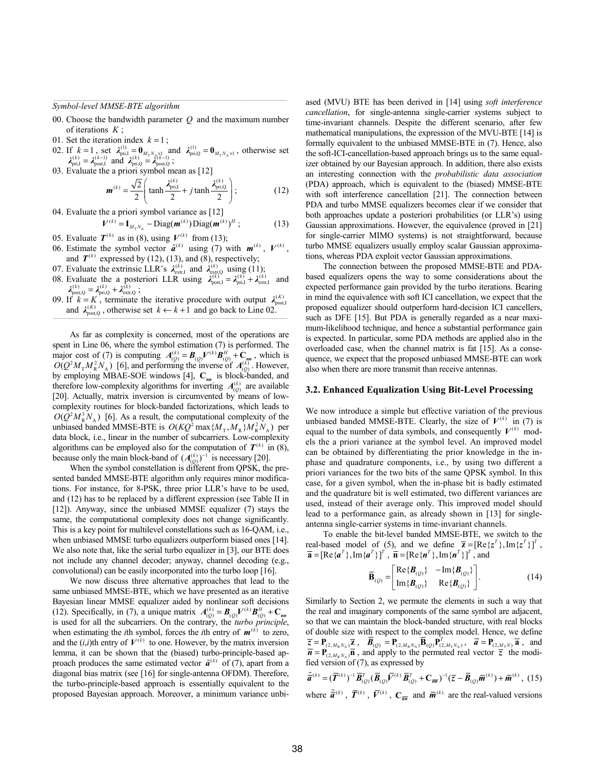*Symbol-level MMSE-BTE algorithm* 

- 00. Choose the bandwidth parameter *Q* and the maximum number of iterations *K* ;
- 01. Set the iteration index  $k = 1$ ;
- 02. If  $k = 1$ , set  $\lambda_{\text{pri},1}^{(1)} = \mathbf{0}_{M_T N_A \times 1}$  and  $\lambda_{\text{pri},Q}^{(1)} = \mathbf{0}_{M_T N_A \times 1}$ , otherwise set  $\lambda_{\text{pri},1}^{(k)} = \lambda_{\text{post},Q}^{(k-1)}$  and  $\lambda_{\text{pri},Q}^{(k)} = \lambda_{\text{post},Q}^{(k-1)}$ ;
- 03. Evaluate the a priori symbol mean as [12]

$$
\mathbf{m}^{(k)} = \frac{\sqrt{2}}{2} \left( \tanh \frac{\mathbf{\lambda}_{\text{pri},1}^{(k)}}{2} + j \tanh \frac{\mathbf{\lambda}_{\text{pri},Q}^{(k)}}{2} \right); \tag{12}
$$

04. Evaluate the a priori symbol variance as [12]

 $V^{(k)} = I_{M_T N_A} - \text{Diag}(\boldsymbol{m}^{(k)}) \text{Diag}(\boldsymbol{m}^{(k)})^H$ ; (13)

- 05. Evaluate  $T^{(k)}$  as in (8), using  $V^{(k)}$  from (13); 06. Estimate the symbol vector  $\tilde{a}^{(k)}$  using (7) with  $m^{(k)}$ ,  $V^{(k)}$ ,
- and  $T^{(k)}$  expressed by (12), (13), and (8), respectively;
- 07. Evaluate the extrinsic LLR's  $\lambda_{\text{ext,r,I}}^{(k)}$  and  $\lambda_{\text{ext,r,Q}}^{(k)}$  using (11);
- 08. Evaluate the a posteriori LLR using  $\lambda_{\text{post},I}^{(k)} = \lambda_{\text{pri},I}^{(k)} + \lambda_{\text{extr,I}}^{(k)}$  and  $\lambda_{\text{post},Q}^{(k)} = \lambda_{\text{pri},Q}^{(k)} + \lambda_{\text{extr,Q}}^{(k)}$ ;
- 09. If  $\vec{k} = K$ , terminate the iterative procedure with output  $\lambda_{\text{post}}^{(K)}$ and  $\lambda_{\text{post},Q}^{(k)}$ , otherwise set  $k \leftarrow k+1$  and go back to Line 02.

As far as complexity is concerned, most of the operations are spent in Line 06, where the symbol estimation (7) is performed. The major cost of (7) is computing  $A_{(Q)}^{(k)} = B_{(Q)}V^{(k)}B_{(Q)}^H + C_{nn}$ , which is  $O(Q^2M_{\rm T}M_{\rm R}^2N_{\rm A})$  [6], and performing the inverse of  $A_{(Q)}^{(k)}$ . However, by employing MBAE-SOE windows [4], **C***nn* is block-banded, and therefore low-complexity algorithms for inverting  $A_{(0)}^{(k)}$  are available [20]. Actually, matrix inversion is circumvented by means of lowcomplexity routines for block-banded factorizations, which leads to  $O(Q^2M_R^3N_A)$  [6]. As a result, the computational complexity of the unbiased banded MMSE-BTE is  $O(KQ^2 \max\{M_{\rm T}, M_{\rm R}\} M_{\rm R}^2 N_{\rm A})$  per data block, i.e., linear in the number of subcarriers. Low-complexity algorithms can be employed also for the computation of  $T^{(k)}$  in (8), because only the main block-band of  $(A_{(0)}^{(k)})^{-1}$  is necessary [20].

When the symbol constellation is different from QPSK, the presented banded MMSE-BTE algorithm only requires minor modifications. For instance, for 8-PSK, three prior LLR's have to be used, and (12) has to be replaced by a different expression (see Table II in [12]). Anyway, since the unbiased MMSE equalizer (7) stays the same, the computational complexity does not change significantly. This is a key point for multilevel constellations such as 16-QAM, i.e., when unbiased MMSE turbo equalizers outperform biased ones [14]. We also note that, like the serial turbo equalizer in [3], our BTE does not include any channel decoder; anyway, channel decoding (e.g., convolutional) can be easily incorporated into the turbo loop [16].

We now discuss three alternative approaches that lead to the same unbiased MMSE-BTE, which we have presented as an iterative Bayesian linear MMSE equalizer aided by nonlinear soft decisions (12). Specifically, in (7), a unique matrix  $A_{(Q)}^{(k)} = B_{(Q)}V^{(k)}B_{(Q)}^H + C_{nn}$ is used for all the subcarriers. On the contrary, the *turbo principle*, when estimating the *i*th symbol, forces the *i*th entry of  $m^{(k)}$  to zero, and the  $(i, i)$ th entry of  $V^{(k)}$  to one. However, by the matrix inversion lemma, it can be shown that the (biased) turbo-principle-based approach produces the same estimated vector  $\tilde{a}^{(k)}$  of (7), apart from a diagonal bias matrix (see [16] for single-antenna OFDM). Therefore, the turbo-principle-based approach is essentially equivalent to the proposed Bayesian approach. Moreover, a minimum variance unbiased (MVU) BTE has been derived in [14] using *soft interference cancellation*, for single-antenna single-carrier systems subject to time-invariant channels. Despite the different scenario, after few mathematical manipulations, the expression of the MVU-BTE [14] is formally equivalent to the unbiased MMSE-BTE in (7). Hence, also the soft-ICI-cancellation-based approach brings us to the same equalizer obtained by our Bayesian approach. In addition, there also exists an interesting connection with the *probabilistic data association*  (PDA) approach, which is equivalent to the (biased) MMSE-BTE with soft interference cancellation [21]. The connection between PDA and turbo MMSE equalizers becomes clear if we consider that both approaches update a posteriori probabilities (or LLR's) using Gaussian approximations. However, the equivalence (proved in [21] for single-carrier MIMO systems) is not straightforward, because turbo MMSE equalizers usually employ scalar Gaussian approximations, whereas PDA exploit vector Gaussian approximations.

The connection between the proposed MMSE-BTE and PDAbased equalizers opens the way to some considerations about the expected performance gain provided by the turbo iterations. Bearing in mind the equivalence with soft ICI cancellation, we expect that the proposed equalizer should outperform hard-decision ICI cancellers, such as DFE [15]. But PDA is generally regarded as a near maximum-likelihood technique, and hence a substantial performance gain is expected. In particular, some PDA methods are applied also in the overloaded case, when the channel matrix is fat [15]. As a consequence, we expect that the proposed unbiased MMSE-BTE can work also when there are more transmit than receive antennas.

## **3.2. Enhanced Equalization Using Bit-Level Processing**

We now introduce a simple but effective variation of the previous unbiased banded MMSE-BTE. Clearly, the size of  $V^{(k)}$  in (7) is equal to the number of data symbols, and consequently  $V^{(k)}$  models the a priori variance at the symbol level. An improved model can be obtained by differentiating the prior knowledge in the inphase and quadrature components, i.e., by using two different a priori variances for the two bits of the same QPSK symbol. In this case, for a given symbol, when the in-phase bit is badly estimated and the quadrature bit is well estimated, two different variances are used, instead of their average only. This improved model should lead to a performance gain, as already shown in [13] for singleantenna single-carrier systems in time-invariant channels.

To enable the bit-level banded MMSE-BTE, we switch to the real-based model of (5), and we define  $\overline{z} = [Re{z^T},Im{z^T}]^T$ ,  $\overline{\mathbf{a}} = [\text{Re} \{\boldsymbol{a}^T\}, \text{Im} \{\boldsymbol{a}^T\}]^T$ ,  $\overline{\mathbf{n}} = [\text{Re} \{\boldsymbol{n}^T\}, \text{Im} \{\boldsymbol{n}^T\}]^T$ , and

$$
\overline{\mathbf{B}}_{(Q)} = \begin{bmatrix} \text{Re}\{\boldsymbol{B}_{(Q)}\} & -\text{Im}\{\boldsymbol{B}_{(Q)}\} \\ \text{Im}\{\boldsymbol{B}_{(Q)}\} & \text{Re}\{\boldsymbol{B}_{(Q)}\} \end{bmatrix} . \tag{14}
$$

Similarly to Section 2, we permute the elements in such a way that the real and imaginary components of the same symbol are adjacent, so that we can maintain the block-banded structure, with real blocks of double size with respect to the complex model. Hence, we define  $\overline{z} = \mathbf{P}_{(2,M_RN_A)}\overline{z}$ ,  $\overline{\mathbf{B}}_{(Q)} = \mathbf{P}_{(2,M_RN_A)}\overline{\mathbf{B}}_{(Q)}\mathbf{P}_{(2,M_TN_A)}^T$ ,  $\overline{\mathbf{a}} = \mathbf{P}_{(2,M_TN)}\overline{\mathbf{a}}$ , and  $\overline{n} = P_{(2, M_R N_A)} \overline{n}$ , and apply to the permuted real vector  $\overline{z}$  the modified version of  $(7)$ , as expressed by

$$
\tilde{\vec{a}}^{(k)} = (\overline{T}^{(k)})^{-1} \overline{B}_{(Q)}^T (\overline{B}_{(Q)} \overline{V}^{(k)} \overline{B}_{(Q)}^T + C_{\overline{m}})^{-1} (\overline{z} - \overline{B}_{(Q)} \overline{m}^{(k)}) + \overline{m}^{(k)}, (15)
$$

where  $\tilde{\vec{a}}^{(k)}$ ,  $\overline{\vec{Y}}^{(k)}$ ,  $\overline{\vec{V}}^{(k)}$ ,  $C_{\overline{n}}$  and  $\overline{\vec{m}}^{(k)}$  are the real-valued versions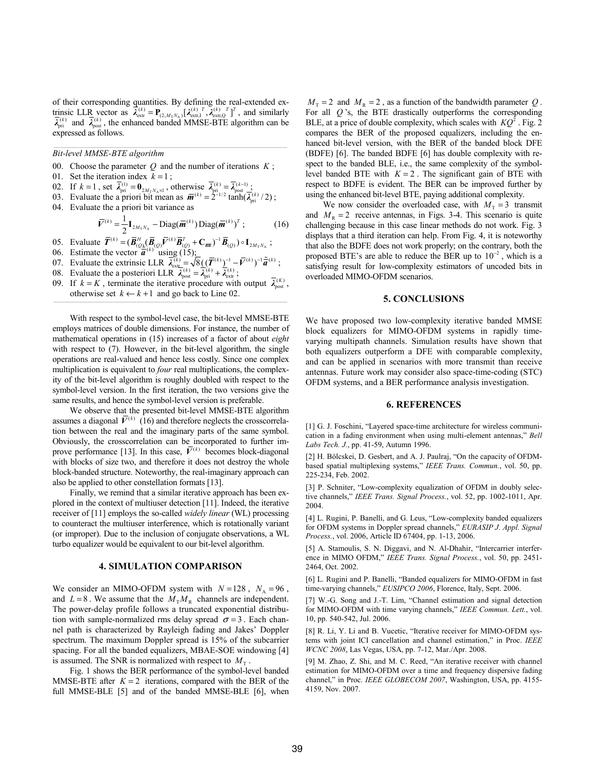of their corresponding quantities. By defining the real-extended extrinsic LLR vector as  $\overline{\lambda}_{ext}^{(k)} = \mathbf{P}_{(2,M_TN_A)}[\lambda_{ext,T}^{(k)}, \lambda_{ext,T}^{(k)}, T]^{T}$ , and similarly  $\overline{\lambda}_{ext}^{(k)}$  and  $\overline{\lambda}_{post}^{(k)}$ , the enhanced banded MMSE-BTE algorithm can be expressed as follows.

*Bit-level MMSE-BTE algorithm* 

- 00. Choose the parameter  $Q$  and the number of iterations  $K$ ;
- 01. Set the iteration index  $k = 1$ ;
- 02. If  $k = 1$ , set  $\overline{\lambda}_{pri}^{(1)} = \mathbf{0}_{2M_TN_A\times 1}$ , otherwise  $\overline{\lambda}_{pri}^{(k)} = \overline{\lambda}_{post}^{(k-1)}$ .
- 03. Evaluate the a priori bit mean as  $\overline{m}^{(k)} = 2^{-1/2} \tanh(\overline{\lambda}_{\text{pri}}^{(k)}/2)$ ;
- 04. Evaluate the a priori bit variance as

$$
\overline{V}^{(k)} = \frac{1}{2} \mathbf{I}_{2M_{\mathrm{T}}N_{\mathrm{A}}} - \text{Diag}(\overline{\boldsymbol{m}}^{(k)}) \text{Diag}(\overline{\boldsymbol{m}}^{(k)})^T ; \qquad (16)
$$

05. Evaluate 
$$
\overline{\mathbf{T}}^{(k)} = (\overline{\mathbf{B}}_{(Q)}^H \overline{\mathbf{A}}_{(Q)} \overline{\mathbf{V}}^{(k)} \overline{\mathbf{B}}_{(Q)}^T + \mathbf{C}_{\overline{m}n}^T)^{-1} \overline{\mathbf{B}}_{(Q)}^T \circ \mathbf{I}_{2M_TN_A}
$$
;

- 06. Estimate the vector  $\overline{a}^{(k)}$  using (15);
- 07. Evaluate the extrinsic LLR  $\overline{\lambda}_{ext_{\overline{k}}}^{(k)} = \sqrt{8} ((\overline{T}^{(k)})^{-1} \overline{V}^{(k)})^{-1} \tilde{\overline{a}}^{(k)}$ ;
- 08. Evaluate the a posteriori LLR  $\overline{\lambda}_{\text{post}}^{(k)} = \overline{\lambda}_{\text{pri}}^{(k)} + \overline{\lambda}_{\text{extr}}^{(k)}$ ;
- 09. If  $k = K$ , terminate the iterative procedure with output  $\overline{\lambda}_{post}^{(K)}$ , otherwise set  $k \leftarrow k + 1$  and go back to Line 02.

With respect to the symbol-level case, the bit-level MMSE-BTE employs matrices of double dimensions. For instance, the number of mathematical operations in (15) increases of a factor of about *eight* with respect to  $(7)$ . However, in the bit-level algorithm, the single operations are real-valued and hence less costly. Since one complex multiplication is equivalent to *four* real multiplications, the complexity of the bit-level algorithm is roughly doubled with respect to the symbol-level version. In the first iteration, the two versions give the same results, and hence the symbol-level version is preferable.

We observe that the presented bit-level MMSE-BTE algorithm assumes a diagonal  $\overline{V}^{(k)}$  (16) and therefore neglects the crosscorrelation between the real and the imaginary parts of the same symbol. Obviously, the crosscorrelation can be incorporated to further improve performance [13]. In this case,  $\overline{V}^{(k)}$  becomes block-diagonal with blocks of size two, and therefore it does not destroy the whole block-banded structure. Noteworthy, the real-imaginary approach can also be applied to other constellation formats [13].

Finally, we remind that a similar iterative approach has been explored in the context of multiuser detection [11]. Indeed, the iterative receiver of [11] employs the so-called *widely linear* (WL) processing to counteract the multiuser interference, which is rotationally variant (or improper). Due to the inclusion of conjugate observations, a WL turbo equalizer would be equivalent to our bit-level algorithm.

#### **4. SIMULATION COMPARISON**

We consider an MIMO-OFDM system with  $N = 128$ ,  $N_A = 96$ , and  $L = 8$ . We assume that the  $M<sub>T</sub>M<sub>R</sub>$  channels are independent. The power-delay profile follows a truncated exponential distribution with sample-normalized rms delay spread  $\sigma = 3$ . Each channel path is characterized by Rayleigh fading and Jakes' Doppler spectrum. The maximum Doppler spread is 15% of the subcarrier spacing. For all the banded equalizers, MBAE-SOE windowing [4] is assumed. The SNR is normalized with respect to  $M<sub>T</sub>$ .

Fig. 1 shows the BER performance of the symbol-level banded MMSE-BTE after  $K = 2$  iterations, compared with the BER of the full MMSE-BLE [5] and of the banded MMSE-BLE [6], when

 $M<sub>r</sub> = 2$  and  $M<sub>R</sub> = 2$ , as a function of the bandwidth parameter Q. For all  $Q$ 's, the BTE drastically outperforms the corresponding BLE, at a price of double complexity, which scales with  $KQ^2$ . Fig. 2 compares the BER of the proposed equalizers, including the enhanced bit-level version, with the BER of the banded block DFE (BDFE) [6]. The banded BDFE [6] has double complexity with respect to the banded BLE, i.e., the same complexity of the symbollevel banded BTE with  $K = 2$ . The significant gain of BTE with respect to BDFE is evident. The BER can be improved further by using the enhanced bit-level BTE, paying additional complexity.

We now consider the overloaded case, with  $M<sub>T</sub> = 3$  transmit and  $M<sub>R</sub> = 2$  receive antennas, in Figs. 3-4. This scenario is quite challenging because in this case linear methods do not work. Fig. 3 displays that a third iteration can help. From Fig. 4, it is noteworthy that also the BDFE does not work properly; on the contrary, both the proposed BTE's are able to reduce the BER up to  $10^{-2}$ , which is a satisfying result for low-complexity estimators of uncoded bits in overloaded MIMO-OFDM scenarios.

## **5. CONCLUSIONS**

We have proposed two low-complexity iterative banded MMSE block equalizers for MIMO-OFDM systems in rapidly timevarying multipath channels. Simulation results have shown that both equalizers outperform a DFE with comparable complexity, and can be applied in scenarios with more transmit than receive antennas. Future work may consider also space-time-coding (STC) OFDM systems, and a BER performance analysis investigation.

#### **6. REFERENCES**

[1] G. J. Foschini, "Layered space-time architecture for wireless communication in a fading environment when using multi-element antennas," *Bell Labs Tech. J.*, pp. 41-59, Autumn 1996.

[2] H. Bölcskei, D. Gesbert, and A. J. Paulraj, "On the capacity of OFDMbased spatial multiplexing systems," IEEE Trans. Commun., vol. 50, pp. 225-234, Feb. 2002.

[3] P. Schniter, "Low-complexity equalization of OFDM in doubly selective channels," IEEE Trans. Signal Process., vol. 52, pp. 1002-1011, Apr. 2004.

[4] L. Rugini, P. Banelli, and G. Leus, "Low-complexity banded equalizers for OFDM systems in Doppler spread channels," *EURASIP J. Appl. Signal Process.*, vol. 2006, Article ID 67404, pp. 1-13, 2006.

[5] A. Stamoulis, S. N. Diggavi, and N. Al-Dhahir, "Intercarrier interference in MIMO OFDM," IEEE Trans. Signal Process., vol. 50, pp. 2451-2464, Oct. 2002.

[6] L. Rugini and P. Banelli, "Banded equalizers for MIMO-OFDM in fast time-varying channels," *EUSIPCO 2006*, Florence, Italy, Sept. 2006.

[7] W.-G. Song and J.-T. Lim, "Channel estimation and signal detection for MIMO-OFDM with time varying channels," IEEE Commun. Lett., vol. 10, pp. 540-542, Jul. 2006.

[8] R. Li, Y. Li and B. Vucetic, "Iterative receiver for MIMO-OFDM systems with joint ICI cancellation and channel estimation," in Proc. IEEE *WCNC 2008*, Las Vegas, USA, pp. 7-12, Mar./Apr. 2008.

[9] M. Zhao, Z. Shi, and M. C. Reed, "An iterative receiver with channel estimation for MIMO-OFDM over a time and frequency dispersive fading channel," in Proc. *IEEE GLOBECOM 2007*, Washington, USA, pp. 4155-4159, Nov. 2007.